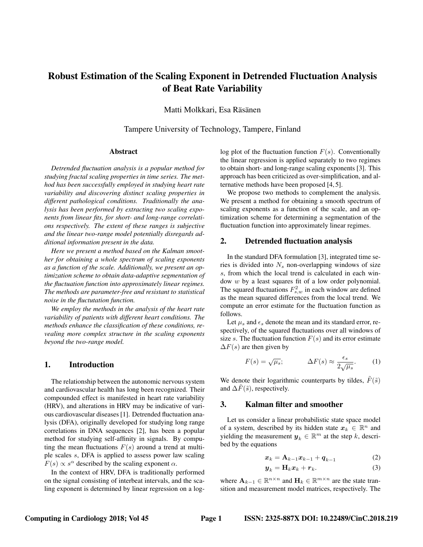# Robust Estimation of the Scaling Exponent in Detrended Fluctuation Analysis of Beat Rate Variability

Matti Molkkari, Esa Räsänen

Tampere University of Technology, Tampere, Finland

## Abstract

*Detrended fluctuation analysis is a popular method for studying fractal scaling properties in time series. The method has been successfully employed in studying heart rate variability and discovering distinct scaling properties in different pathological conditions. Traditionally the analysis has been performed by extracting two scaling exponents from linear fits, for short- and long-range correlations respectively. The extent of these ranges is subjective and the linear two-range model potentially disregards additional information present in the data.*

*Here we present a method based on the Kalman smoother for obtaining a whole spectrum of scaling exponents as a function of the scale. Additionally, we present an optimization scheme to obtain data-adaptive segmentation of the fluctuation function into approximately linear regimes. The methods are parameter-free and resistant to statistical noise in the fluctutation function.*

*We employ the methods in the analysis of the heart rate variability of patients with different heart conditions. The methods enhance the classification of these conditions, revealing more complex structure in the scaling exponents beyond the two-range model.*

## 1. Introduction

The relationship between the autonomic nervous system and cardiovascular health has long been recognized. Their compounded effect is manifested in heart rate variability (HRV), and alterations in HRV may be indicative of various cardiovascular diseases [1]. Detrended fluctuation analysis (DFA), originally developed for studying long range correlations in DNA sequences [2], has been a popular method for studying self-affinity in signals. By computing the mean fluctuations  $F(s)$  around a trend at multiple scales s, DFA is applied to assess power law scaling  $F(s) \propto s^{\alpha}$  described by the scaling exponent  $\alpha$ .

In the context of HRV, DFA is traditionally performed on the signal consisting of interbeat intervals, and the scaling exponent is determined by linear regression on a loglog plot of the fluctuation function  $F(s)$ . Conventionally the linear regression is applied separately to two regimes to obtain short- and long-range scaling exponents [3]. This approach has been criticized as over-simplification, and alternative methods have been proposed [4, 5].

We propose two methods to complement the analysis. We present a method for obtaining a smooth spectrum of scaling exponents as a function of the scale, and an optimization scheme for determining a segmentation of the fluctuation function into approximately linear regimes.

#### 2. Detrended fluctuation analysis

In the standard DFA formulation [3], integrated time series is divided into  $N_s$  non-overlapping windows of size s, from which the local trend is calculated in each window w by a least squares fit of a low order polynomial. The squared fluctuations  $F_{s,w}^2$  in each window are defined as the mean squared differences from the local trend. We compute an error estimate for the fluctuation function as follows.

Let  $\mu_s$  and  $\epsilon_s$  denote the mean and its standard error, respectively, of the squared fluctuations over all windows of size s. The fluctuation function  $F(s)$  and its error estimate  $\Delta F(s)$  are then given by

$$
F(s) = \sqrt{\mu_s}; \qquad \Delta F(s) \approx \frac{\epsilon_s}{2\sqrt{\mu_s}}.
$$
 (1)

We denote their logarithmic counterparts by tildes,  $\tilde{F}(\tilde{s})$ and  $\Delta F(\tilde{s})$ , respectively.

#### 3. Kalman filter and smoother

Let us consider a linear probabilistic state space model of a system, described by its hidden state  $x_k \in \mathbb{R}^n$  and yielding the measurement  $y_k \in \mathbb{R}^m$  at the step k, described by the equations

$$
\boldsymbol{x}_k = \mathbf{A}_{k-1}\boldsymbol{x}_{k-1} + \boldsymbol{q}_{k-1} \tag{2}
$$

$$
\boldsymbol{y}_k = \mathbf{H}_k \boldsymbol{x}_k + \boldsymbol{r}_k. \tag{3}
$$

where  $\mathbf{A}_{k-1} \in \mathbb{R}^{n \times n}$  and  $\mathbf{H}_k \in \mathbb{R}^{m \times n}$  are the state transition and measurement model matrices, respectively. The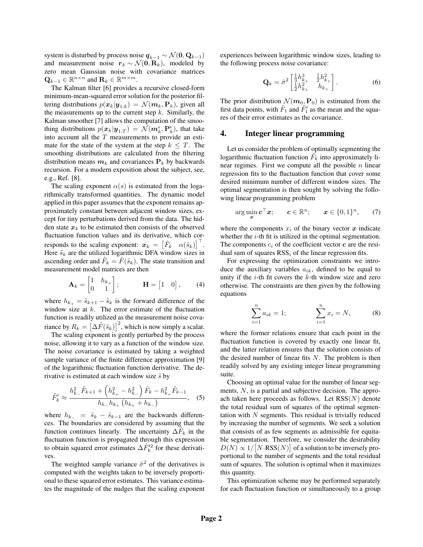system is disturbed by process noise  $q_{k-1} \sim \mathcal{N}(0, \mathbf{Q}_{k-1})$ and measurement noise  $r_k \sim \mathcal{N}(\mathbf{0}, \mathbf{R}_k)$ , modeled by zero mean Gaussian noise with covariance matrices  $\mathbf{Q}_{k-1} \in \mathbb{R}^{n \times n}$  and  $\mathbf{R}_k \in \mathbb{R}^{m \times m}$ .

The Kalman filter [6] provides a recursive closed-form minimum-mean-squared error solution for the posterior filtering distributions  $p(\boldsymbol{x}_k|\boldsymbol{y}_{1:k}) = \mathcal{N}(\boldsymbol{m}_k,\mathbf{P}_k)$ , given all the measurements up to the current step  $k$ . Similarly, the Kalman smoother [7] allows the computation of the smoothing distributions  $p(\mathbf{x}_k|\mathbf{y}_{1:T}) = \mathcal{N}(m_k^s, \mathbf{P}_k^s)$ , that take into account all the  $T$  measurements to provide an estimate for the state of the system at the step  $k \leq T$ . The smoothing distributions are calculated from the filtering distribution means  $m_k$  and covariances  $P_k$  by backwards recursion. For a modern exposition about the subject, see, e.g., Ref. [8].

The scaling exponent  $\alpha(s)$  is estimated from the logarithmically transformed quantities. The dynamic model applied in this paper assumes that the exponent remains approximately constant between adjacent window sizes, except for tiny perturbations derived from the data. The hidden state  $x_k$  to be estimated then consists of the observed fluctuation function values and its derivative, which corresponds to the scaling exponent:  $\boldsymbol{x}_k = \begin{bmatrix} \tilde{F}_k & \alpha(\tilde{s}_k) \end{bmatrix}^\top$ . Here  $\tilde{s}_k$  are the utilized logarithmic DFA window sizes in ascending order and  $\tilde{F}_k = \tilde{F}(\tilde{s}_k)$ . The state transition and measurement model matrices are then

$$
\mathbf{A}_k = \begin{bmatrix} 1 & h_{k_+} \\ 0 & 1 \end{bmatrix}; \qquad \mathbf{H} = \begin{bmatrix} 1 & 0 \end{bmatrix}, \qquad (4)
$$

where  $h_{k+} = \tilde{s}_{k+1} - \tilde{s}_k$  is the forward difference of the window size at  $k$ . The error estimate of the fluctuation function is readily utilized as the measurement noise covariance by  $R_k = \left[\Delta \tilde{F}(\tilde{s}_k)\right]^2$ , which is now simply a scalar.

The scaling exponent is gently perturbed by the process noise, allowing it to vary as a function of the window size. The noise covariance is estimated by taking a weighted sample variance of the finite difference approximation [9] of the logarithmic fluctuation function derivative. The derivative is estimated at each window size  $\tilde{s}$  by

$$
\tilde{F}'_k \approx \frac{h_{k_-}^2 \tilde{F}_{k+1} + \left(h_{k_+}^2 - h_{k_-}^2\right) \tilde{F}_k - h_{k_+}^2 \tilde{F}_{k-1}}{h_{k_-} h_{k_+} \left(h_{k_+} + h_{k_-}\right)}, \quad (5)
$$

where  $h_{k-} = \tilde{s}_k - \tilde{s}_{k-1}$  are the backwards differences. The boundaries are considered by assuming that the function continues linearly. The uncertainty  $\Delta \tilde{F}_k$  in the fluctuation function is propagated through this expression to obtain squared error estimates  $\Delta F'^{2}_{k}$  for these derivatives.

The weighted sample variance  $\hat{\sigma}^2$  of the derivatives is computed with the weights taken to be inversely proportional to these squared error estimates. This variance estimates the magnitude of the nudges that the scaling exponent experiences between logarithmic window sizes, leading to the following process noise covariance:

$$
\mathbf{Q}_{k} = \hat{\sigma}^{2} \begin{bmatrix} \frac{1}{3}h_{k_{+}}^{3} & \frac{1}{2}h_{k_{+}}^{2} \\ \frac{1}{2}h_{k_{+}}^{2} & h_{k_{+}} \end{bmatrix}.
$$
 (6)

The prior distribution  $\mathcal{N}(m_0, \mathbf{P}_0)$  is estimated from the first data points, with  $\tilde{F}_1$  and  $\tilde{F}_1'$  as the mean and the squares of their error estimates as the covariance.

#### 4. Integer linear programming

Let us consider the problem of optimally segmenting the logarithmic fluctuation function  $\tilde{F}_k$  into approximately linear regimes. First we compute all the possible  $n$  linear regression fits to the fluctuation function that cover some desired minimum number of different window sizes. The optimal segmentation is then sought by solving the following linear programming problem

$$
\arg\min_{\bm{x}} \bm{c}^\top \bm{x}; \qquad \bm{c} \in \mathbb{R}^n; \qquad \bm{x} \in \{0,1\}^n, \qquad (7)
$$

where the components  $x_i$  of the binary vector  $x$  indicate whether the  $i$ -th fit is utilized in the optimal segmentation. The components  $c_i$  of the coefficient vector  $c$  are the residual sum of squares  $RSS<sub>i</sub>$  of the linear regression fits.

For expressing the optimization constraints we introduce the auxiliary variables  $a_{ik}$ , defined to be equal to unity if the  $i$ -th fit covers the  $k$ -th window size and zero otherwise. The constraints are then given by the following equations

$$
\sum_{i=1}^{n} a_{ik} = 1; \qquad \sum_{i=1}^{n} x_i = N, \qquad (8)
$$

where the former relations ensure that each point in the fluctuation function is covered by exactly one linear fit, and the latter relation ensures that the solution consists of the desired number of linear fits  $N$ . The problem is then readily solved by any existing integer linear programming suite.

Choosing an optimal value for the number of linear segments, N, is a partial and subjective decision. The approach taken here proceeds as follows. Let  $RSS(N)$  denote the total residual sum of squares of the optimal segmentation with  $N$  segments. This residual is trivially reduced by increasing the number of segments. We seek a solution that consists of as few segments as admissible for equitable segmentation. Therefore, we consider the desirability  $D(N) \propto 1/ [N \cdot \text{RSS}(N)]$  of a solution to be inversely proportional to the number of segments and the total residual sum of squares. The solution is optimal when it maximizes this quantity.

This optimization scheme may be performed separately for each fluctuation function or simultaneously to a group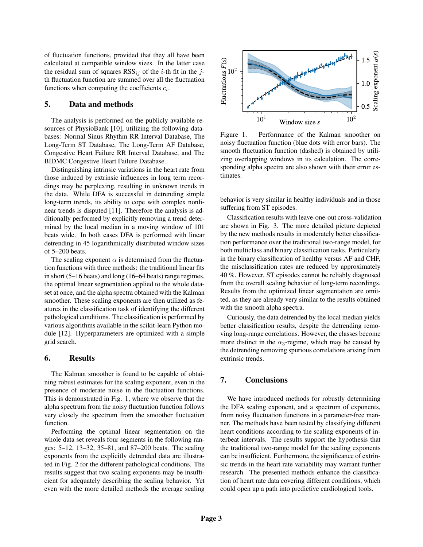of fluctuation functions, provided that they all have been calculated at compatible window sizes. In the latter case the residual sum of squares  $RSS_{ij}$  of the *i*-th fit in the *j*th fluctuation function are summed over all the fluctuation functions when computing the coefficients  $c_i$ .

## 5. Data and methods

The analysis is performed on the publicly available resources of PhysioBank [10], utilizing the following databases: Normal Sinus Rhythm RR Interval Database, The Long-Term ST Database, The Long-Term AF Database, Congestive Heart Failure RR Interval Database, and The BIDMC Congestive Heart Failure Database.

Distinguishing intrinsic variations in the heart rate from those induced by extrinsic influences in long term recordings may be perplexing, resulting in unknown trends in the data. While DFA is successful in detrending simple long-term trends, its ability to cope with complex nonlinear trends is disputed [11]. Therefore the analysis is additionally performed by explicitly removing a trend determined by the local median in a moving window of 101 beats wide. In both cases DFA is performed with linear detrending in 45 logarithmically distributed window sizes of 5–200 beats.

The scaling exponent  $\alpha$  is determined from the fluctuation functions with three methods: the traditional linear fits in short (5–16 beats) and long (16–64 beats) range regimes, the optimal linear segmentation applied to the whole dataset at once, and the alpha spectra obtained with the Kalman smoother. These scaling exponents are then utilized as features in the classification task of identifying the different pathological conditions. The classification is performed by various algorithms available in the scikit-learn Python module [12]. Hyperparameters are optimized with a simple grid search.

## 6. Results

The Kalman smoother is found to be capable of obtaining robust estimates for the scaling exponent, even in the presence of moderate noise in the fluctuation functions. This is demonstrated in Fig. 1, where we observe that the alpha spectrum from the noisy fluctuation function follows very closely the spectrum from the smoother fluctuation function.

Performing the optimal linear segmentation on the whole data set reveals four segments in the following ranges: 5–12, 13–32, 35–81, and 87–200 beats. The scaling exponents from the explicitly detrended data are illustrated in Fig. 2 for the different pathological conditions. The results suggest that two scaling exponents may be insufficient for adequately describing the scaling behavior. Yet even with the more detailed methods the average scaling



Figure 1. Performance of the Kalman smoother on noisy fluctuation function (blue dots with error bars). The smooth fluctuation function (dashed) is obtained by utilizing overlapping windows in its calculation. The corresponding alpha spectra are also shown with their error estimates.

behavior is very similar in healthy individuals and in those suffering from ST episodes.

Classification results with leave-one-out cross-validation are shown in Fig. 3. The more detailed picture depicted by the new methods results in moderately better classification performance over the traditional two-range model, for both multiclass and binary classification tasks. Particularly in the binary classification of healthy versus AF and CHF, the misclassification rates are reduced by approximately 40 %. However, ST episodes cannot be reliably diagnosed from the overall scaling behavior of long-term recordings. Results from the optimized linear segmentation are omitted, as they are already very similar to the results obtained with the smooth alpha spectra.

Curiously, the data detrended by the local median yields better classification results, despite the detrending removing long-range correlations. However, the classes become more distinct in the  $\alpha_3$ -regime, which may be caused by the detrending removing spurious correlations arising from extrinsic trends.

# 7. Conclusions

We have introduced methods for robustly determining the DFA scaling exponent, and a spectrum of exponents, from noisy fluctuation functions in a parameter-free manner. The methods have been tested by classifying different heart conditions according to the scaling exponents of interbeat intervals. The results support the hypothesis that the traditional two-range model for the scaling exponents can be insufficient. Furthermore, the significance of extrinsic trends in the heart rate variability may warrant further research. The presented methods enhance the classification of heart rate data covering different conditions, which could open up a path into predictive cardiological tools.